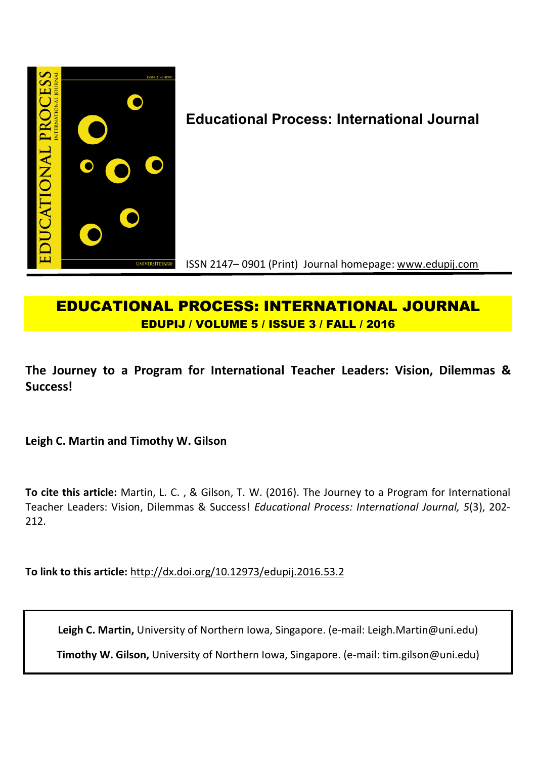

# **EDUCATIONAL PROCESS: INTERNATIONAL JOURNAL EDUPIJ / VOLUME 5 / ISSUE 3 / FALL / 2016**

**The Journey to a Program for International Teacher Leaders: Vision, Dilemmas & Success!**

**Leigh C. Martin and Timothy W. Gilson**

**To cite this article:** Martin, L. C. , & Gilson, T. W. (2016). The Journey to a Program for International Teacher Leaders: Vision, Dilemmas & Success! *Educational Process: International Journal, 5*(3), 202- 212.

**To link to this article:** http://dx.doi.org/10.12973/edupij.2016.53.2

**Leigh C. Martin,** University of Northern Iowa, Singapore. (e-mail: Leigh.Martin@uni.edu)

**Timothy W. Gilson,** University of Northern Iowa, Singapore. (e-mail: tim.gilson@uni.edu)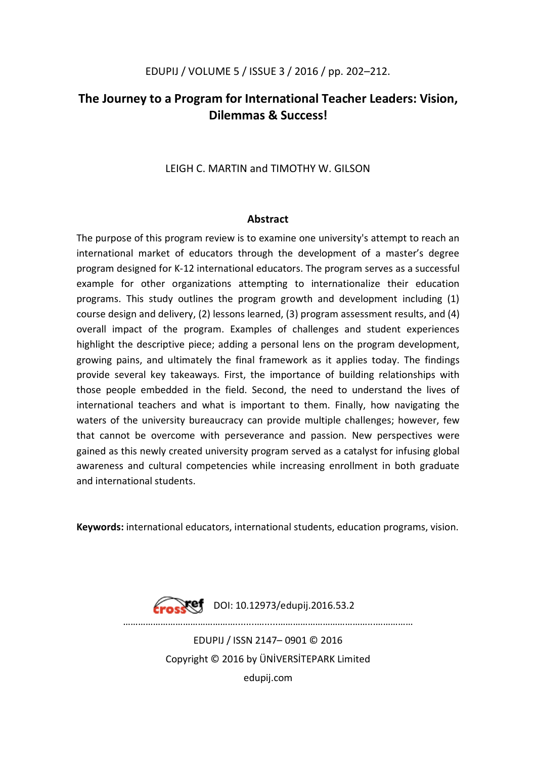## **The Journey to a Program for International Teacher Leaders: Vision, Dilemmas & Success!**

### LEIGH C. MARTIN and TIMOTHY W. GILSON

### **Abstract**

The purpose of this program review is to examine one university's attempt to reach an international market of educators through the development of a master's degree program designed for K-12 international educators. The program serves as a successful example for other organizations attempting to internationalize their education programs. This study outlines the program growth and development including (1) course design and delivery, (2) lessons learned, (3) program assessment results, and (4) overall impact of the program. Examples of challenges and student experiences highlight the descriptive piece; adding a personal lens on the program development, growing pains, and ultimately the final framework as it applies today. The findings provide several key takeaways. First, the importance of building relationships with those people embedded in the field. Second, the need to understand the lives of international teachers and what is important to them. Finally, how navigating the waters of the university bureaucracy can provide multiple challenges; however, few that cannot be overcome with perseverance and passion. New perspectives were gained as this newly created university program served as a catalyst for infusing global awareness and cultural competencies while increasing enrollment in both graduate and international students.

**Keywords:** international educators, international students, education programs, vision.

**Nef** DOI: 10.12973/edupij.2016.53.2 ………………………………………........….....………………………………...…………… EDUPIJ / ISSN 2147– 0901 © 2016 Copyright © 2016 by ÜNİVERSİTEPARK Limited edupij.com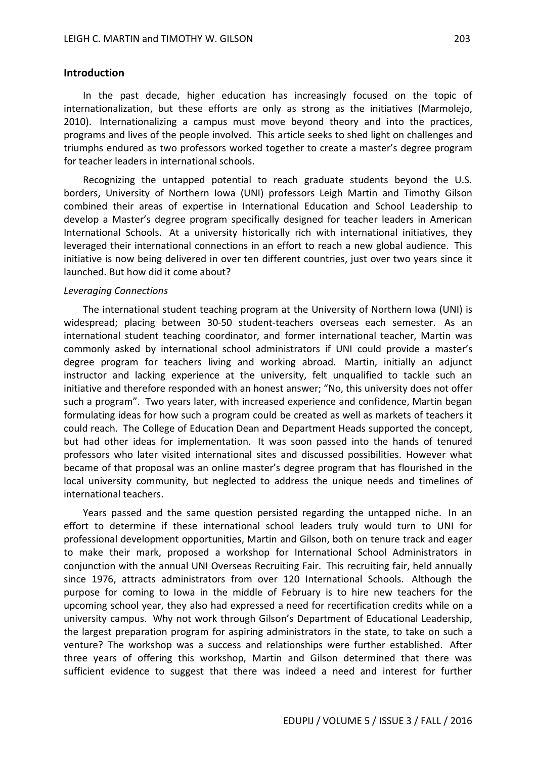#### **Introduction**

In the past decade, higher education has increasingly focused on the topic of internationalization, but these efforts are only as strong as the initiatives (Marmolejo, 2010). Internationalizing a campus must move beyond theory and into the practices, programs and lives of the people involved. This article seeks to shed light on challenges and triumphs endured as two professors worked together to create a master's degree program for teacher leaders in international schools.

Recognizing the untapped potential to reach graduate students beyond the U.S. borders, University of Northern Iowa (UNI) professors Leigh Martin and Timothy Gilson combined their areas of expertise in International Education and School Leadership to develop a Master's degree program specifically designed for teacher leaders in American International Schools. At a university historically rich with international initiatives, they leveraged their international connections in an effort to reach a new global audience. This initiative is now being delivered in over ten different countries, just over two years since it launched. But how did it come about?

#### *Leveraging Connections*

The international student teaching program at the University of Northern Iowa (UNI) is widespread; placing between 30-50 student-teachers overseas each semester. As an international student teaching coordinator, and former international teacher, Martin was commonly asked by international school administrators if UNI could provide a master's degree program for teachers living and working abroad. Martin, initially an adjunct instructor and lacking experience at the university, felt unqualified to tackle such an initiative and therefore responded with an honest answer; "No, this university does not offer such a program". Two years later, with increased experience and confidence, Martin began formulating ideas for how such a program could be created as well as markets of teachers it could reach. The College of Education Dean and Department Heads supported the concept, but had other ideas for implementation. It was soon passed into the hands of tenured professors who later visited international sites and discussed possibilities. However what became of that proposal was an online master's degree program that has flourished in the local university community, but neglected to address the unique needs and timelines of international teachers.

Years passed and the same question persisted regarding the untapped niche. In an effort to determine if these international school leaders truly would turn to UNI for professional development opportunities, Martin and Gilson, both on tenure track and eager to make their mark, proposed a workshop for International School Administrators in conjunction with the annual UNI Overseas Recruiting Fair. This recruiting fair, held annually since 1976, attracts administrators from over 120 International Schools. Although the purpose for coming to Iowa in the middle of February is to hire new teachers for the upcoming school year, they also had expressed a need for recertification credits while on a university campus. Why not work through Gilson's Department of Educational Leadership, the largest preparation program for aspiring administrators in the state, to take on such a venture? The workshop was a success and relationships were further established. After three years of offering this workshop, Martin and Gilson determined that there was sufficient evidence to suggest that there was indeed a need and interest for further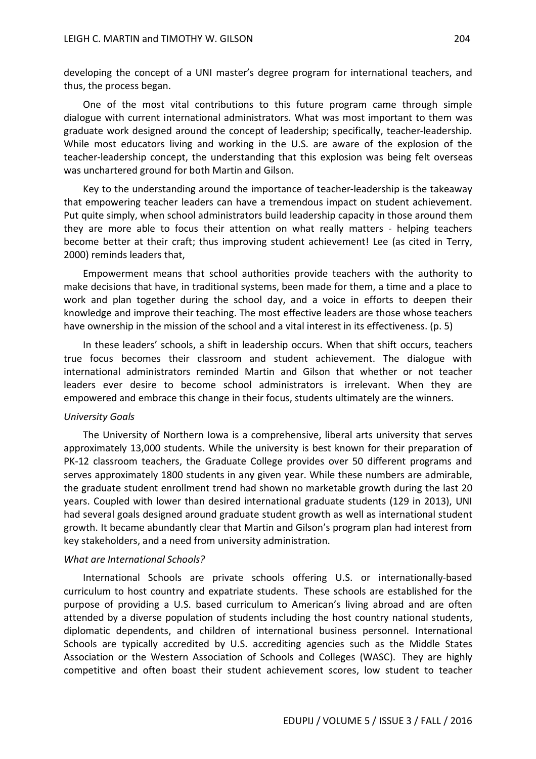developing the concept of a UNI master's degree program for international teachers, and thus, the process began.

One of the most vital contributions to this future program came through simple dialogue with current international administrators. What was most important to them was graduate work designed around the concept of leadership; specifically, teacher-leadership. While most educators living and working in the U.S. are aware of the explosion of the teacher-leadership concept, the understanding that this explosion was being felt overseas was unchartered ground for both Martin and Gilson.

Key to the understanding around the importance of teacher-leadership is the takeaway that empowering teacher leaders can have a tremendous impact on student achievement. Put quite simply, when school administrators build leadership capacity in those around them they are more able to focus their attention on what really matters - helping teachers become better at their craft; thus improving student achievement! Lee (as cited in Terry, 2000) reminds leaders that,

Empowerment means that school authorities provide teachers with the authority to make decisions that have, in traditional systems, been made for them, a time and a place to work and plan together during the school day, and a voice in efforts to deepen their knowledge and improve their teaching. The most effective leaders are those whose teachers have ownership in the mission of the school and a vital interest in its effectiveness. (p. 5)

In these leaders' schools, a shift in leadership occurs. When that shift occurs, teachers true focus becomes their classroom and student achievement. The dialogue with international administrators reminded Martin and Gilson that whether or not teacher leaders ever desire to become school administrators is irrelevant. When they are empowered and embrace this change in their focus, students ultimately are the winners.

#### *University Goals*

The University of Northern Iowa is a comprehensive, liberal arts university that serves approximately 13,000 students. While the university is best known for their preparation of PK-12 classroom teachers, the Graduate College provides over 50 different programs and serves approximately 1800 students in any given year. While these numbers are admirable, the graduate student enrollment trend had shown no marketable growth during the last 20 years. Coupled with lower than desired international graduate students (129 in 2013), UNI had several goals designed around graduate student growth as well as international student growth. It became abundantly clear that Martin and Gilson's program plan had interest from key stakeholders, and a need from university administration.

### *What are International Schools?*

International Schools are private schools offering U.S. or internationally-based curriculum to host country and expatriate students. These schools are established for the purpose of providing a U.S. based curriculum to American's living abroad and are often attended by a diverse population of students including the host country national students, diplomatic dependents, and children of international business personnel. International Schools are typically accredited by U.S. accrediting agencies such as the Middle States Association or the Western Association of Schools and Colleges (WASC). They are highly competitive and often boast their student achievement scores, low student to teacher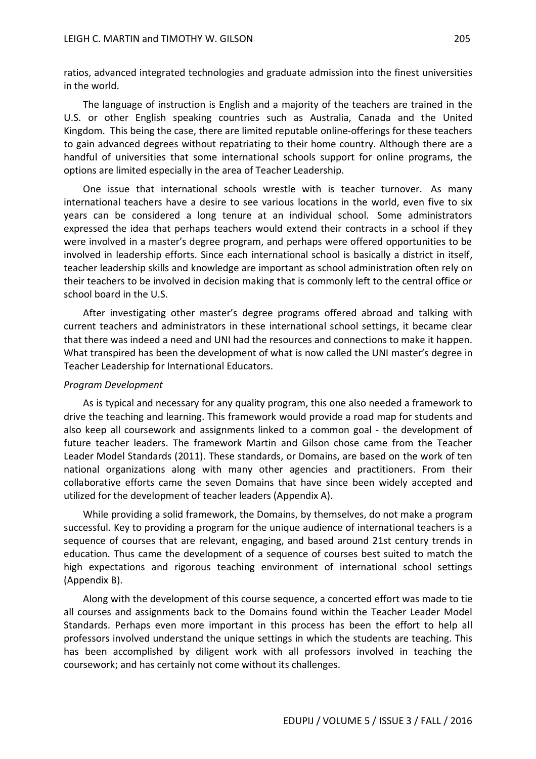ratios, advanced integrated technologies and graduate admission into the finest universities in the world.

The language of instruction is English and a majority of the teachers are trained in the U.S. or other English speaking countries such as Australia, Canada and the United Kingdom. This being the case, there are limited reputable online-offerings for these teachers to gain advanced degrees without repatriating to their home country. Although there are a handful of universities that some international schools support for online programs, the options are limited especially in the area of Teacher Leadership.

One issue that international schools wrestle with is teacher turnover. As many international teachers have a desire to see various locations in the world, even five to six years can be considered a long tenure at an individual school. Some administrators expressed the idea that perhaps teachers would extend their contracts in a school if they were involved in a master's degree program, and perhaps were offered opportunities to be involved in leadership efforts. Since each international school is basically a district in itself, teacher leadership skills and knowledge are important as school administration often rely on their teachers to be involved in decision making that is commonly left to the central office or school board in the U.S.

After investigating other master's degree programs offered abroad and talking with current teachers and administrators in these international school settings, it became clear that there was indeed a need and UNI had the resources and connections to make it happen. What transpired has been the development of what is now called the UNI master's degree in Teacher Leadership for International Educators.

#### *Program Development*

As is typical and necessary for any quality program, this one also needed a framework to drive the teaching and learning. This framework would provide a road map for students and also keep all coursework and assignments linked to a common goal - the development of future teacher leaders. The framework Martin and Gilson chose came from the Teacher Leader Model Standards (2011). These standards, or Domains, are based on the work of ten national organizations along with many other agencies and practitioners. From their collaborative efforts came the seven Domains that have since been widely accepted and utilized for the development of teacher leaders (Appendix A).

While providing a solid framework, the Domains, by themselves, do not make a program successful. Key to providing a program for the unique audience of international teachers is a sequence of courses that are relevant, engaging, and based around 21st century trends in education. Thus came the development of a sequence of courses best suited to match the high expectations and rigorous teaching environment of international school settings (Appendix B).

Along with the development of this course sequence, a concerted effort was made to tie all courses and assignments back to the Domains found within the Teacher Leader Model Standards. Perhaps even more important in this process has been the effort to help all professors involved understand the unique settings in which the students are teaching. This has been accomplished by diligent work with all professors involved in teaching the coursework; and has certainly not come without its challenges.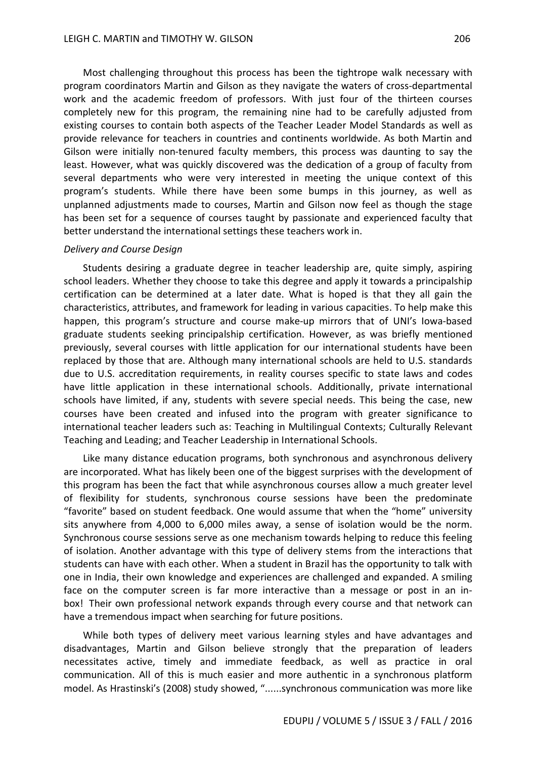Most challenging throughout this process has been the tightrope walk necessary with program coordinators Martin and Gilson as they navigate the waters of cross-departmental work and the academic freedom of professors. With just four of the thirteen courses completely new for this program, the remaining nine had to be carefully adjusted from existing courses to contain both aspects of the Teacher Leader Model Standards as well as provide relevance for teachers in countries and continents worldwide. As both Martin and Gilson were initially non-tenured faculty members, this process was daunting to say the least. However, what was quickly discovered was the dedication of a group of faculty from several departments who were very interested in meeting the unique context of this program's students. While there have been some bumps in this journey, as well as unplanned adjustments made to courses, Martin and Gilson now feel as though the stage has been set for a sequence of courses taught by passionate and experienced faculty that better understand the international settings these teachers work in.

#### *Delivery and Course Design*

Students desiring a graduate degree in teacher leadership are, quite simply, aspiring school leaders. Whether they choose to take this degree and apply it towards a principalship certification can be determined at a later date. What is hoped is that they all gain the characteristics, attributes, and framework for leading in various capacities. To help make this happen, this program's structure and course make-up mirrors that of UNI's Iowa-based graduate students seeking principalship certification. However, as was briefly mentioned previously, several courses with little application for our international students have been replaced by those that are. Although many international schools are held to U.S. standards due to U.S. accreditation requirements, in reality courses specific to state laws and codes have little application in these international schools. Additionally, private international schools have limited, if any, students with severe special needs. This being the case, new courses have been created and infused into the program with greater significance to international teacher leaders such as: Teaching in Multilingual Contexts; Culturally Relevant Teaching and Leading; and Teacher Leadership in International Schools.

Like many distance education programs, both synchronous and asynchronous delivery are incorporated. What has likely been one of the biggest surprises with the development of this program has been the fact that while asynchronous courses allow a much greater level of flexibility for students, synchronous course sessions have been the predominate "favorite" based on student feedback. One would assume that when the "home" university sits anywhere from 4,000 to 6,000 miles away, a sense of isolation would be the norm. Synchronous course sessions serve as one mechanism towards helping to reduce this feeling of isolation. Another advantage with this type of delivery stems from the interactions that students can have with each other. When a student in Brazil has the opportunity to talk with one in India, their own knowledge and experiences are challenged and expanded. A smiling face on the computer screen is far more interactive than a message or post in an inbox! Their own professional network expands through every course and that network can have a tremendous impact when searching for future positions.

While both types of delivery meet various learning styles and have advantages and disadvantages, Martin and Gilson believe strongly that the preparation of leaders necessitates active, timely and immediate feedback, as well as practice in oral communication. All of this is much easier and more authentic in a synchronous platform model. As Hrastinski's (2008) study showed, "......synchronous communication was more like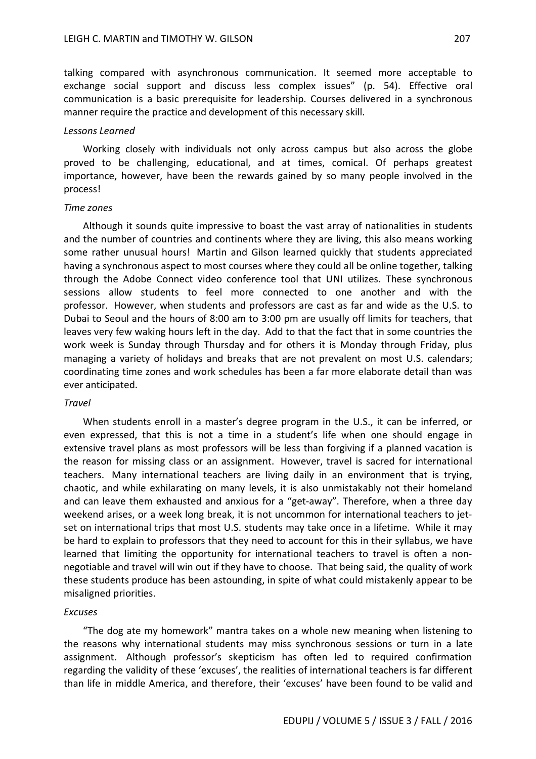talking compared with asynchronous communication. It seemed more acceptable to exchange social support and discuss less complex issues" (p. 54). Effective oral communication is a basic prerequisite for leadership. Courses delivered in a synchronous manner require the practice and development of this necessary skill.

#### *Lessons Learned*

Working closely with individuals not only across campus but also across the globe proved to be challenging, educational, and at times, comical. Of perhaps greatest importance, however, have been the rewards gained by so many people involved in the process!

#### *Time zones*

Although it sounds quite impressive to boast the vast array of nationalities in students and the number of countries and continents where they are living, this also means working some rather unusual hours! Martin and Gilson learned quickly that students appreciated having a synchronous aspect to most courses where they could all be online together, talking through the Adobe Connect video conference tool that UNI utilizes. These synchronous sessions allow students to feel more connected to one another and with the professor. However, when students and professors are cast as far and wide as the U.S. to Dubai to Seoul and the hours of 8:00 am to 3:00 pm are usually off limits for teachers, that leaves very few waking hours left in the day. Add to that the fact that in some countries the work week is Sunday through Thursday and for others it is Monday through Friday, plus managing a variety of holidays and breaks that are not prevalent on most U.S. calendars; coordinating time zones and work schedules has been a far more elaborate detail than was ever anticipated.

#### *Travel*

When students enroll in a master's degree program in the U.S., it can be inferred, or even expressed, that this is not a time in a student's life when one should engage in extensive travel plans as most professors will be less than forgiving if a planned vacation is the reason for missing class or an assignment. However, travel is sacred for international teachers. Many international teachers are living daily in an environment that is trying, chaotic, and while exhilarating on many levels, it is also unmistakably not their homeland and can leave them exhausted and anxious for a "get-away". Therefore, when a three day weekend arises, or a week long break, it is not uncommon for international teachers to jetset on international trips that most U.S. students may take once in a lifetime. While it may be hard to explain to professors that they need to account for this in their syllabus, we have learned that limiting the opportunity for international teachers to travel is often a nonnegotiable and travel will win out if they have to choose. That being said, the quality of work these students produce has been astounding, in spite of what could mistakenly appear to be misaligned priorities.

#### *Excuses*

"The dog ate my homework" mantra takes on a whole new meaning when listening to the reasons why international students may miss synchronous sessions or turn in a late assignment. Although professor's skepticism has often led to required confirmation regarding the validity of these 'excuses', the realities of international teachers is far different than life in middle America, and therefore, their 'excuses' have been found to be valid and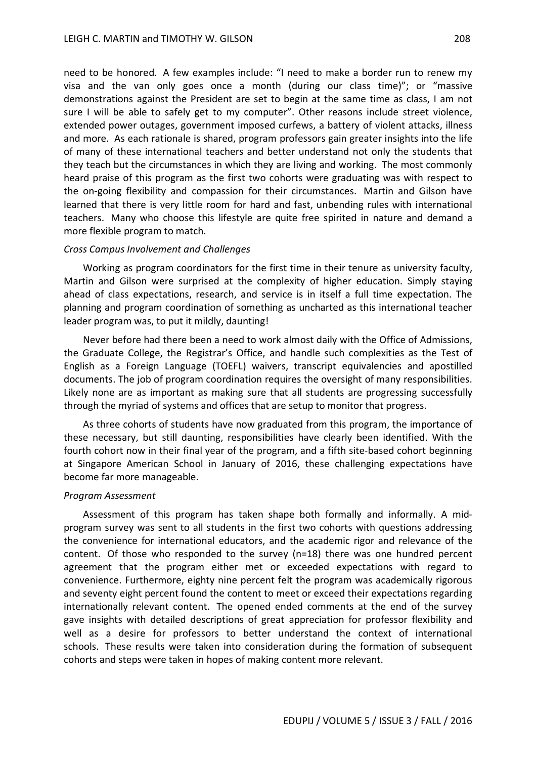need to be honored. A few examples include: "I need to make a border run to renew my visa and the van only goes once a month (during our class time)"; or "massive demonstrations against the President are set to begin at the same time as class, I am not sure I will be able to safely get to my computer". Other reasons include street violence, extended power outages, government imposed curfews, a battery of violent attacks, illness and more. As each rationale is shared, program professors gain greater insights into the life of many of these international teachers and better understand not only the students that they teach but the circumstances in which they are living and working. The most commonly heard praise of this program as the first two cohorts were graduating was with respect to the on-going flexibility and compassion for their circumstances. Martin and Gilson have learned that there is very little room for hard and fast, unbending rules with international teachers. Many who choose this lifestyle are quite free spirited in nature and demand a more flexible program to match.

#### *Cross Campus Involvement and Challenges*

Working as program coordinators for the first time in their tenure as university faculty, Martin and Gilson were surprised at the complexity of higher education. Simply staying ahead of class expectations, research, and service is in itself a full time expectation. The planning and program coordination of something as uncharted as this international teacher leader program was, to put it mildly, daunting!

Never before had there been a need to work almost daily with the Office of Admissions, the Graduate College, the Registrar's Office, and handle such complexities as the Test of English as a Foreign Language (TOEFL) waivers, transcript equivalencies and apostilled documents. The job of program coordination requires the oversight of many responsibilities. Likely none are as important as making sure that all students are progressing successfully through the myriad of systems and offices that are setup to monitor that progress.

As three cohorts of students have now graduated from this program, the importance of these necessary, but still daunting, responsibilities have clearly been identified. With the fourth cohort now in their final year of the program, and a fifth site-based cohort beginning at Singapore American School in January of 2016, these challenging expectations have become far more manageable.

#### *Program Assessment*

Assessment of this program has taken shape both formally and informally. A midprogram survey was sent to all students in the first two cohorts with questions addressing the convenience for international educators, and the academic rigor and relevance of the content. Of those who responded to the survey (n=18) there was one hundred percent agreement that the program either met or exceeded expectations with regard to convenience. Furthermore, eighty nine percent felt the program was academically rigorous and seventy eight percent found the content to meet or exceed their expectations regarding internationally relevant content. The opened ended comments at the end of the survey gave insights with detailed descriptions of great appreciation for professor flexibility and well as a desire for professors to better understand the context of international schools. These results were taken into consideration during the formation of subsequent cohorts and steps were taken in hopes of making content more relevant.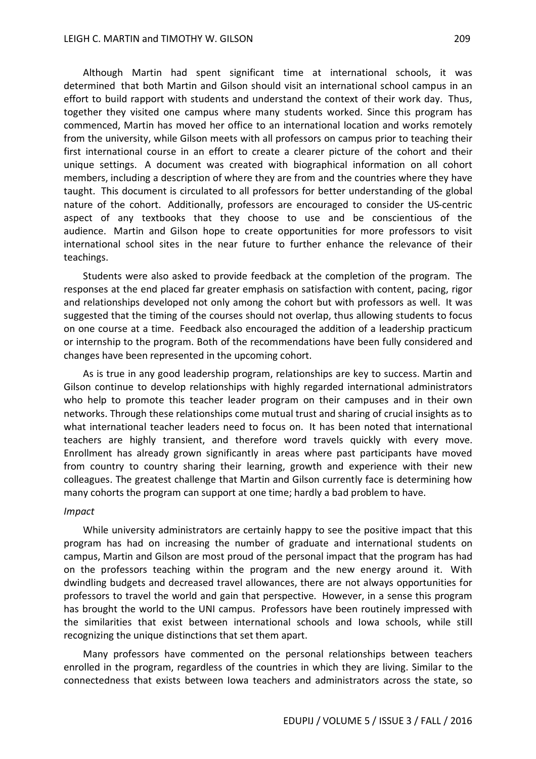Although Martin had spent significant time at international schools, it was determined that both Martin and Gilson should visit an international school campus in an effort to build rapport with students and understand the context of their work day. Thus, together they visited one campus where many students worked. Since this program has commenced, Martin has moved her office to an international location and works remotely from the university, while Gilson meets with all professors on campus prior to teaching their first international course in an effort to create a clearer picture of the cohort and their unique settings. A document was created with biographical information on all cohort members, including a description of where they are from and the countries where they have taught. This document is circulated to all professors for better understanding of the global nature of the cohort. Additionally, professors are encouraged to consider the US-centric aspect of any textbooks that they choose to use and be conscientious of the audience. Martin and Gilson hope to create opportunities for more professors to visit international school sites in the near future to further enhance the relevance of their teachings.

Students were also asked to provide feedback at the completion of the program. The responses at the end placed far greater emphasis on satisfaction with content, pacing, rigor and relationships developed not only among the cohort but with professors as well. It was suggested that the timing of the courses should not overlap, thus allowing students to focus on one course at a time. Feedback also encouraged the addition of a leadership practicum or internship to the program. Both of the recommendations have been fully considered and changes have been represented in the upcoming cohort.

As is true in any good leadership program, relationships are key to success. Martin and Gilson continue to develop relationships with highly regarded international administrators who help to promote this teacher leader program on their campuses and in their own networks. Through these relationships come mutual trust and sharing of crucial insights as to what international teacher leaders need to focus on. It has been noted that international teachers are highly transient, and therefore word travels quickly with every move. Enrollment has already grown significantly in areas where past participants have moved from country to country sharing their learning, growth and experience with their new colleagues. The greatest challenge that Martin and Gilson currently face is determining how many cohorts the program can support at one time; hardly a bad problem to have.

#### *Impact*

While university administrators are certainly happy to see the positive impact that this program has had on increasing the number of graduate and international students on campus, Martin and Gilson are most proud of the personal impact that the program has had on the professors teaching within the program and the new energy around it. With dwindling budgets and decreased travel allowances, there are not always opportunities for professors to travel the world and gain that perspective. However, in a sense this program has brought the world to the UNI campus. Professors have been routinely impressed with the similarities that exist between international schools and Iowa schools, while still recognizing the unique distinctions that set them apart.

Many professors have commented on the personal relationships between teachers enrolled in the program, regardless of the countries in which they are living. Similar to the connectedness that exists between Iowa teachers and administrators across the state, so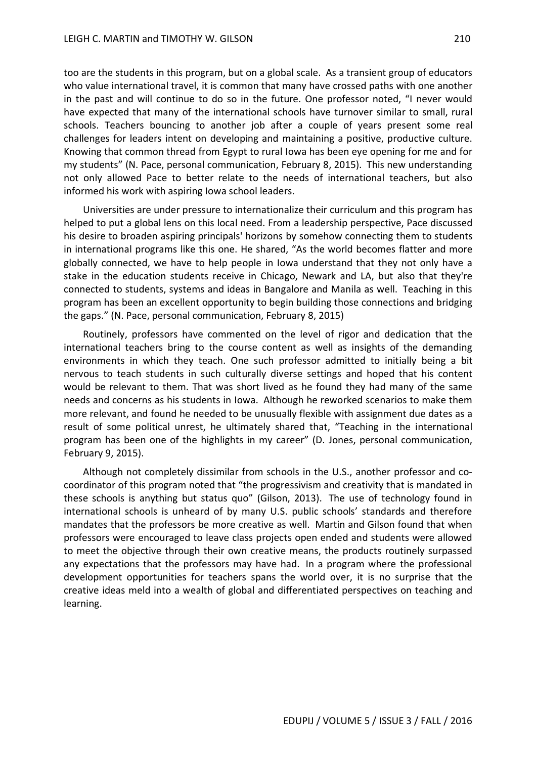too are the students in this program, but on a global scale. As a transient group of educators who value international travel, it is common that many have crossed paths with one another in the past and will continue to do so in the future. One professor noted, "I never would have expected that many of the international schools have turnover similar to small, rural schools. Teachers bouncing to another job after a couple of years present some real challenges for leaders intent on developing and maintaining a positive, productive culture. Knowing that common thread from Egypt to rural Iowa has been eye opening for me and for my students" (N. Pace, personal communication, February 8, 2015). This new understanding not only allowed Pace to better relate to the needs of international teachers, but also informed his work with aspiring Iowa school leaders.

Universities are under pressure to internationalize their curriculum and this program has helped to put a global lens on this local need. From a leadership perspective, Pace discussed his desire to broaden aspiring principals' horizons by somehow connecting them to students in international programs like this one. He shared, "As the world becomes flatter and more globally connected, we have to help people in Iowa understand that they not only have a stake in the education students receive in Chicago, Newark and LA, but also that they're connected to students, systems and ideas in Bangalore and Manila as well. Teaching in this program has been an excellent opportunity to begin building those connections and bridging the gaps." (N. Pace, personal communication, February 8, 2015)

Routinely, professors have commented on the level of rigor and dedication that the international teachers bring to the course content as well as insights of the demanding environments in which they teach. One such professor admitted to initially being a bit nervous to teach students in such culturally diverse settings and hoped that his content would be relevant to them. That was short lived as he found they had many of the same needs and concerns as his students in Iowa. Although he reworked scenarios to make them more relevant, and found he needed to be unusually flexible with assignment due dates as a result of some political unrest, he ultimately shared that, "Teaching in the international program has been one of the highlights in my career" (D. Jones, personal communication, February 9, 2015).

Although not completely dissimilar from schools in the U.S., another professor and cocoordinator of this program noted that "the progressivism and creativity that is mandated in these schools is anything but status quo" (Gilson, 2013). The use of technology found in international schools is unheard of by many U.S. public schools' standards and therefore mandates that the professors be more creative as well. Martin and Gilson found that when professors were encouraged to leave class projects open ended and students were allowed to meet the objective through their own creative means, the products routinely surpassed any expectations that the professors may have had. In a program where the professional development opportunities for teachers spans the world over, it is no surprise that the creative ideas meld into a wealth of global and differentiated perspectives on teaching and learning.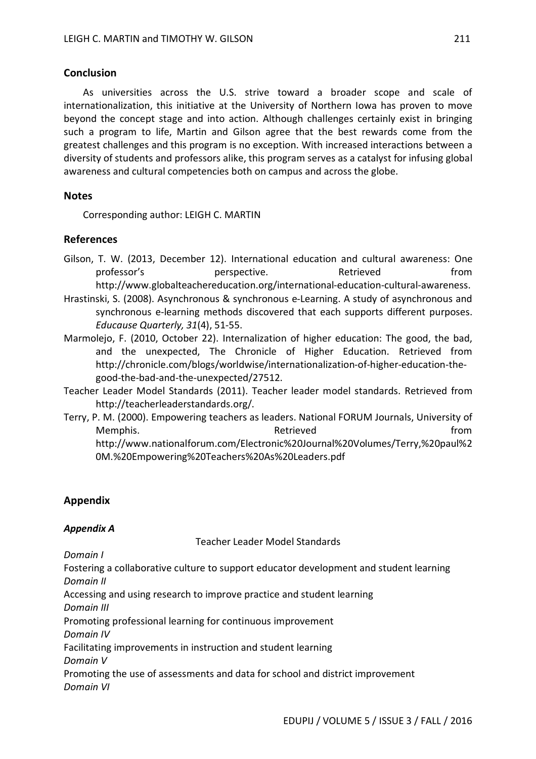### **Conclusion**

As universities across the U.S. strive toward a broader scope and scale of internationalization, this initiative at the University of Northern Iowa has proven to move beyond the concept stage and into action. Although challenges certainly exist in bringing such a program to life, Martin and Gilson agree that the best rewards come from the greatest challenges and this program is no exception. With increased interactions between a diversity of students and professors alike, this program serves as a catalyst for infusing global awareness and cultural competencies both on campus and across the globe.

### **Notes**

Corresponding author: LEIGH C. MARTIN

### **References**

- Gilson, T. W. (2013, December 12). International education and cultural awareness: One professor's perspective. Retrieved from http://www.globalteachereducation.org/international-education-cultural-awareness.
- Hrastinski, S. (2008). Asynchronous & synchronous e-Learning. A study of asynchronous and synchronous e-learning methods discovered that each supports different purposes. *Educause Quarterly, 31*(4), 51-55.
- Marmolejo, F. (2010, October 22). Internalization of higher education: The good, the bad, and the unexpected, The Chronicle of Higher Education. Retrieved from http://chronicle.com/blogs/worldwise/internationalization-of-higher-education-thegood-the-bad-and-the-unexpected/27512.
- Teacher Leader Model Standards (2011). Teacher leader model standards. Retrieved from http://teacherleaderstandards.org/.
- Terry, P. M. (2000). Empowering teachers as leaders. National FORUM Journals, University of Memphis. The contract of the Retrieved contract of the from the from the set of the from the set of the set of the set of the set of the set of the set of the set of the set of the set of the set of the set of the set of t http://www.nationalforum.com/Electronic%20Journal%20Volumes/Terry,%20paul%2 0M.%20Empowering%20Teachers%20As%20Leaders.pdf

### **Appendix**

### *Appendix A*

Teacher Leader Model Standards

*Domain I*

Fostering a collaborative culture to support educator development and student learning *Domain II*

Accessing and using research to improve practice and student learning

*Domain III*

Promoting professional learning for continuous improvement

*Domain IV*

Facilitating improvements in instruction and student learning

*Domain V*

Promoting the use of assessments and data for school and district improvement *Domain VI*